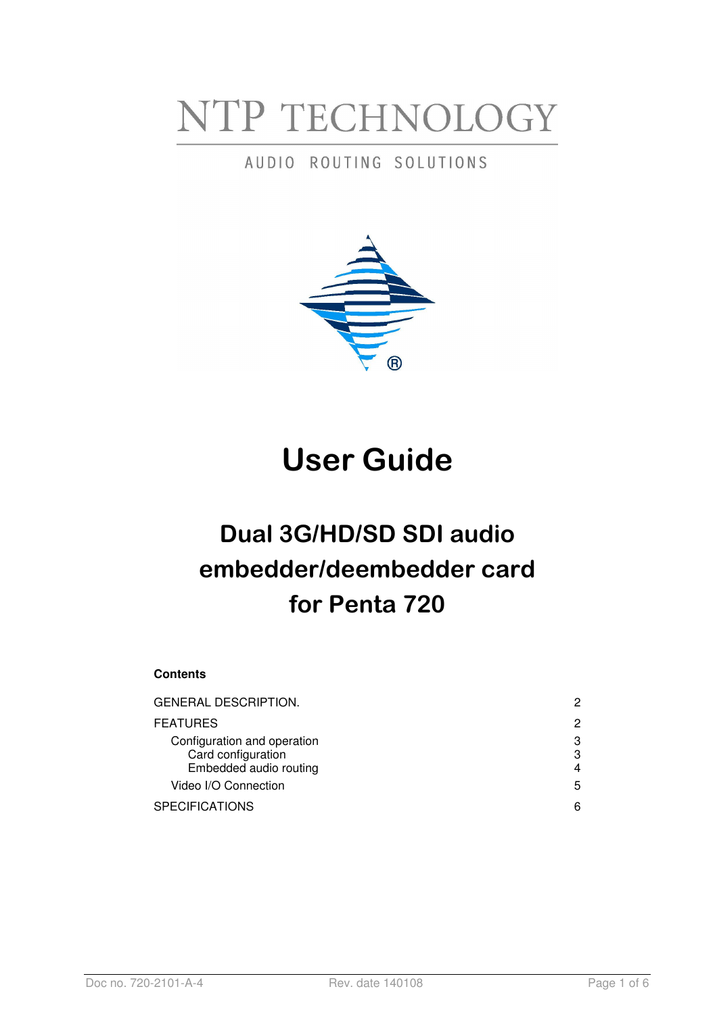# NTP TECHNOLOGY

## AUDIO ROUTING SOLUTIONS



# User Guide

# Dual 3G/HD/SD SDI audio embedder/deembedder card for Penta 720

#### **Contents**

| GENERAL DESCRIPTION.                                                        | 2           |
|-----------------------------------------------------------------------------|-------------|
| <b>FEATURES</b>                                                             | 2           |
| Configuration and operation<br>Card configuration<br>Embedded audio routing | 3<br>3<br>4 |
| Video I/O Connection                                                        | 5           |
| SPECIFICATIONS                                                              | 6           |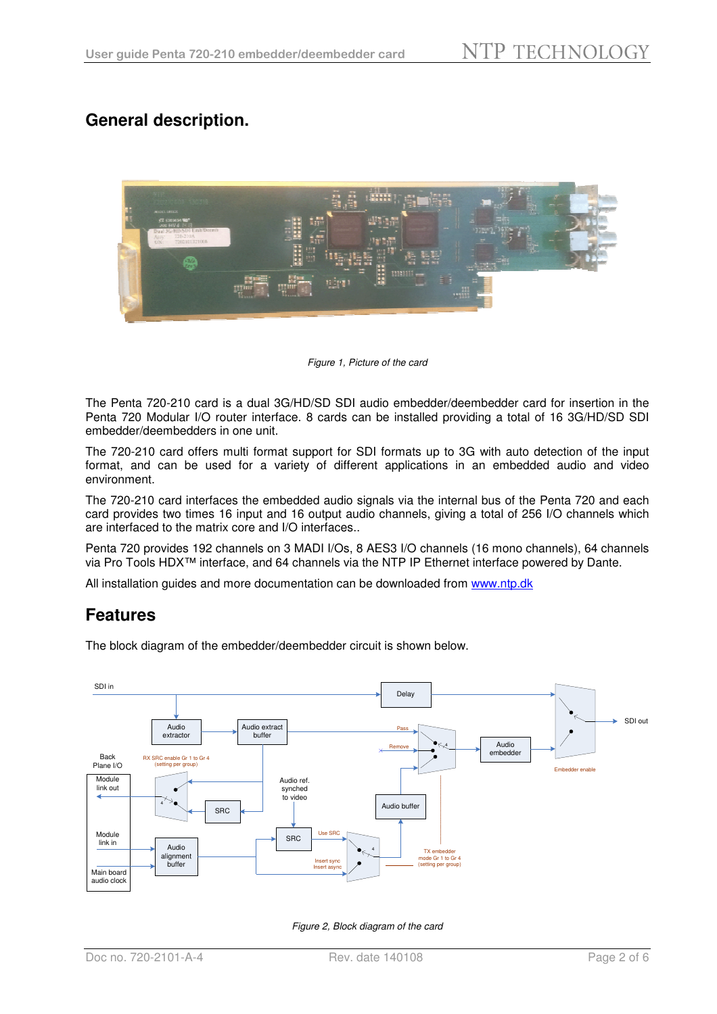## **General description.**



Figure 1, Picture of the card

The Penta 720-210 card is a dual 3G/HD/SD SDI audio embedder/deembedder card for insertion in the Penta 720 Modular I/O router interface. 8 cards can be installed providing a total of 16 3G/HD/SD SDI embedder/deembedders in one unit.

The 720-210 card offers multi format support for SDI formats up to 3G with auto detection of the input format, and can be used for a variety of different applications in an embedded audio and video environment.

The 720-210 card interfaces the embedded audio signals via the internal bus of the Penta 720 and each card provides two times 16 input and 16 output audio channels, giving a total of 256 I/O channels which are interfaced to the matrix core and I/O interfaces..

Penta 720 provides 192 channels on 3 MADI I/Os, 8 AES3 I/O channels (16 mono channels), 64 channels via Pro Tools HDX™ interface, and 64 channels via the NTP IP Ethernet interface powered by Dante.

All installation guides and more documentation can be downloaded from www.ntp.dk

### **Features**

The block diagram of the embedder/deembedder circuit is shown below.



Figure 2, Block diagram of the card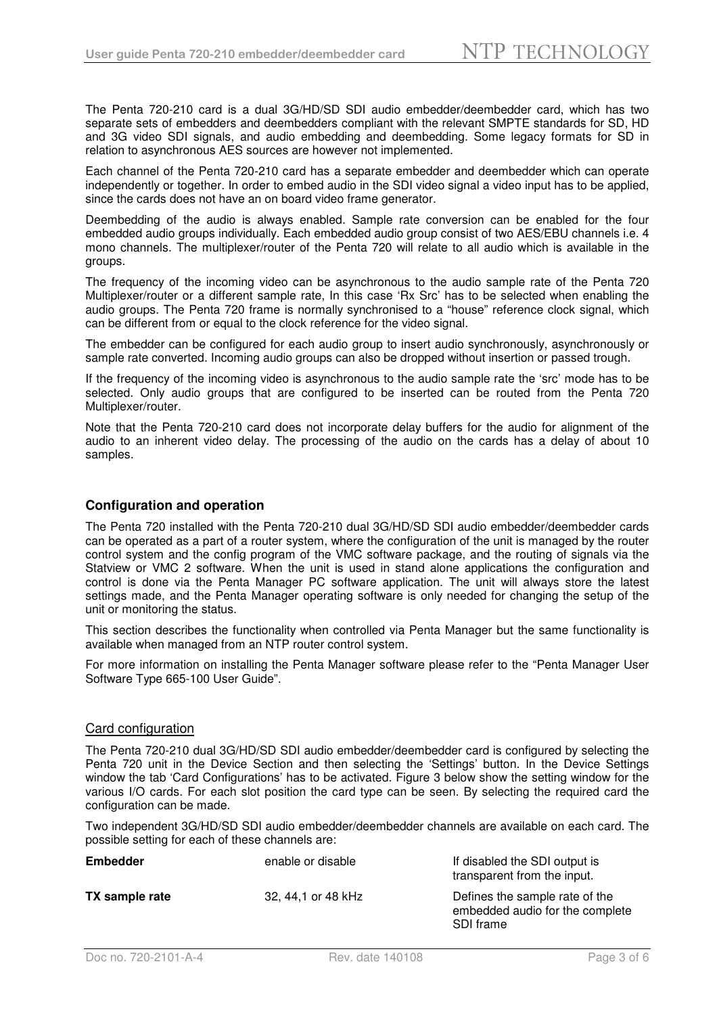The Penta 720-210 card is a dual 3G/HD/SD SDI audio embedder/deembedder card, which has two separate sets of embedders and deembedders compliant with the relevant SMPTE standards for SD, HD and 3G video SDI signals, and audio embedding and deembedding. Some legacy formats for SD in relation to asynchronous AES sources are however not implemented.

Each channel of the Penta 720-210 card has a separate embedder and deembedder which can operate independently or together. In order to embed audio in the SDI video signal a video input has to be applied, since the cards does not have an on board video frame generator.

Deembedding of the audio is always enabled. Sample rate conversion can be enabled for the four embedded audio groups individually. Each embedded audio group consist of two AES/EBU channels i.e. 4 mono channels. The multiplexer/router of the Penta 720 will relate to all audio which is available in the groups.

The frequency of the incoming video can be asynchronous to the audio sample rate of the Penta 720 Multiplexer/router or a different sample rate, In this case 'Rx Src' has to be selected when enabling the audio groups. The Penta 720 frame is normally synchronised to a "house" reference clock signal, which can be different from or equal to the clock reference for the video signal.

The embedder can be configured for each audio group to insert audio synchronously, asynchronously or sample rate converted. Incoming audio groups can also be dropped without insertion or passed trough.

If the frequency of the incoming video is asynchronous to the audio sample rate the 'src' mode has to be selected. Only audio groups that are configured to be inserted can be routed from the Penta 720 Multiplexer/router.

Note that the Penta 720-210 card does not incorporate delay buffers for the audio for alignment of the audio to an inherent video delay. The processing of the audio on the cards has a delay of about 10 samples.

#### **Configuration and operation**

The Penta 720 installed with the Penta 720-210 dual 3G/HD/SD SDI audio embedder/deembedder cards can be operated as a part of a router system, where the configuration of the unit is managed by the router control system and the config program of the VMC software package, and the routing of signals via the Statview or VMC 2 software. When the unit is used in stand alone applications the configuration and control is done via the Penta Manager PC software application. The unit will always store the latest settings made, and the Penta Manager operating software is only needed for changing the setup of the unit or monitoring the status.

This section describes the functionality when controlled via Penta Manager but the same functionality is available when managed from an NTP router control system.

For more information on installing the Penta Manager software please refer to the "Penta Manager User Software Type 665-100 User Guide".

#### Card configuration

The Penta 720-210 dual 3G/HD/SD SDI audio embedder/deembedder card is configured by selecting the Penta 720 unit in the Device Section and then selecting the 'Settings' button. In the Device Settings window the tab 'Card Configurations' has to be activated. Figure 3 below show the setting window for the various I/O cards. For each slot position the card type can be seen. By selecting the required card the configuration can be made.

Two independent 3G/HD/SD SDI audio embedder/deembedder channels are available on each card. The possible setting for each of these channels are:

| <b>Embedder</b> | enable or disable  | If disabled the SDI output is<br>transparent from the input.                   |
|-----------------|--------------------|--------------------------------------------------------------------------------|
| TX sample rate  | 32, 44,1 or 48 kHz | Defines the sample rate of the<br>embedded audio for the complete<br>SDI frame |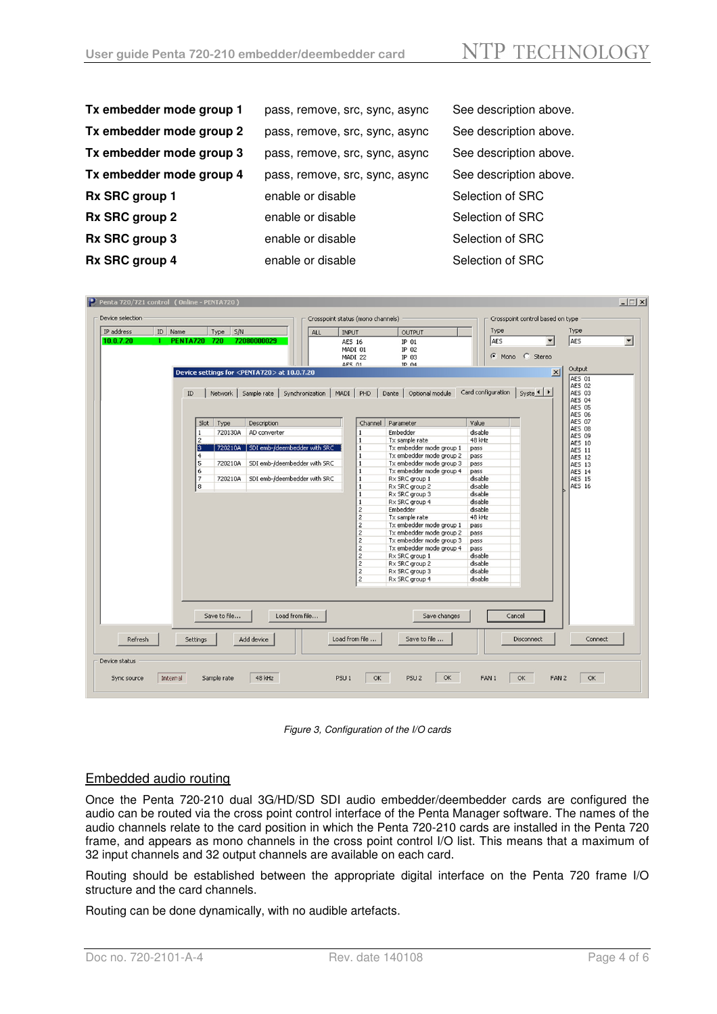| Tx embedder mode group 1 | pass, remove, src, sync, async | See description above. |
|--------------------------|--------------------------------|------------------------|
| Tx embedder mode group 2 | pass, remove, src, sync, async | See description above. |
| Tx embedder mode group 3 | pass, remove, src, sync, async | See description above. |
| Tx embedder mode group 4 | pass, remove, src, sync, async | See description above. |
| Rx SRC group 1           | enable or disable              | Selection of SRC       |
| Rx SRC group 2           | enable or disable              | Selection of SRC       |
| Rx SRC group 3           | enable or disable              | Selection of SRC       |
| Rx SRC group 4           | enable or disable              | Selection of SRC       |

| Device selection |          |                     |                |                                                        |                |                              |                  | Crosspoint status (mono channels) |                                  |                    | Crosspoint control based on type |                                |
|------------------|----------|---------------------|----------------|--------------------------------------------------------|----------------|------------------------------|------------------|-----------------------------------|----------------------------------|--------------------|----------------------------------|--------------------------------|
| IP address       | ID Name  |                     | S/N<br>Type    |                                                        |                | <b>ALL</b>                   | <b>INPUT</b>     |                                   | OUTPUT                           | Type               |                                  | Type                           |
| 10.0.7.20        |          | <b>PENTA720 720</b> |                | 72080000029                                            |                |                              | <b>AES 16</b>    |                                   | $IP$ $01$                        | AES                | $\blacktriangledown$             | AES                            |
|                  |          |                     |                |                                                        |                |                              | MADI 01          |                                   | IP 02                            |                    |                                  |                                |
|                  |          |                     |                |                                                        |                |                              | MADI 22          |                                   | IP 03                            |                    | C Mono C Stereo                  |                                |
|                  |          |                     |                |                                                        |                |                              | AFS 01           |                                   | $TP$ $04$                        |                    |                                  | Output                         |
|                  |          |                     |                | Device settings for <penta720> at 10.0.7.20</penta720> |                |                              |                  |                                   |                                  |                    | $\vert x \vert$                  |                                |
|                  |          |                     |                |                                                        |                |                              |                  |                                   |                                  |                    |                                  | <b>AES 01</b><br><b>AES 02</b> |
|                  |          | ID                  | <b>Network</b> | Sample rate                                            |                | Synchronization              | MADI             | PHD                               | Optional module<br>Dante         | Card configuration | Syste 1                          | AES 03                         |
|                  |          |                     |                |                                                        |                |                              |                  |                                   |                                  |                    |                                  | <b>AES 04</b>                  |
|                  |          |                     |                |                                                        |                |                              |                  |                                   |                                  |                    |                                  | <b>AES 05</b>                  |
|                  |          |                     |                |                                                        |                |                              |                  |                                   |                                  |                    |                                  | <b>AES 06</b><br>AES 07        |
|                  |          |                     | Slot   Type    | Description                                            |                |                              |                  | Channel                           | Parameter                        | Value              |                                  | <b>AES 08</b>                  |
|                  |          | 1                   | 720130A        | AD converter                                           |                |                              |                  | $\mathbf{1}$                      | Embedder                         | disable            |                                  | <b>AES 09</b>                  |
|                  |          | $\overline{c}$      |                |                                                        |                |                              |                  | $\mathbf{1}$                      | Tx sample rate                   | 48 kHz             |                                  | <b>AES 10</b>                  |
|                  |          | 5                   |                | 720210A SDI emb-/deembedder with SRC                   |                |                              |                  | $\mathbf{1}$                      | Tx embedder mode group 1         | pass               |                                  | <b>AES 11</b>                  |
|                  |          | $\overline{4}$      |                |                                                        |                |                              |                  | $\mathbf{1}$<br>$\overline{1}$    | Tx embedder mode group 2         | pass               |                                  | <b>AES 12</b>                  |
|                  |          | 5                   | 720210A        |                                                        |                | SDI emb-/deembedder with SRC |                  |                                   | Tx embedder mode group 3         | pass               |                                  | <b>AES 13</b>                  |
|                  |          | 6<br>$\overline{7}$ | 720210A        |                                                        |                | SDI emb-/deembedder with SRC |                  | $\mathbf{1}$<br>$\mathbf{1}$      | Tx embedder mode group 4         | pass<br>disable    |                                  | <b>AES 14</b><br><b>AES 15</b> |
|                  |          | 8                   |                |                                                        |                |                              |                  | $\mathbf{1}$                      | Rx SRC group 1<br>Rx SRC group 2 | disable            |                                  | <b>AES 16</b>                  |
|                  |          |                     |                |                                                        |                |                              |                  | $\mathbf 1$                       | Rx SRC group 3                   | disable            |                                  |                                |
|                  |          |                     |                |                                                        |                |                              |                  | $\mathbf{1}$                      | Rx SRC group 4                   | disable            |                                  |                                |
|                  |          |                     |                |                                                        |                |                              |                  | 2                                 | Embedder                         | disable            |                                  |                                |
|                  |          |                     |                |                                                        |                |                              |                  | $\overline{c}$                    | Tx sample rate                   | 48 kHz             |                                  |                                |
|                  |          |                     |                |                                                        |                |                              |                  | $\overline{c}$                    | Tx embedder mode group 1         | pass               |                                  |                                |
|                  |          |                     |                |                                                        |                |                              |                  | $\overline{\mathbf{c}}$           | Tx embedder mode group 2         | pass               |                                  |                                |
|                  |          |                     |                |                                                        |                |                              |                  | $\overline{c}$                    | Tx embedder mode group 3         | pass               |                                  |                                |
|                  |          |                     |                |                                                        |                |                              |                  | $\overline{\mathbf{c}}$           | Tx embedder mode group 4         | pass               |                                  |                                |
|                  |          |                     |                |                                                        |                |                              |                  | $\overline{c}$                    | Rx SRC group 1                   | disable            |                                  |                                |
|                  |          |                     |                |                                                        |                |                              |                  | $\overline{\mathbf{c}}$           | Rx SRC group 2                   | disable            |                                  |                                |
|                  |          |                     |                |                                                        |                |                              |                  | $\overline{c}$                    | Rx SRC group 3                   | disable            |                                  |                                |
|                  |          |                     |                |                                                        |                |                              |                  |                                   |                                  | disable            |                                  |                                |
|                  |          |                     |                |                                                        |                |                              |                  |                                   |                                  |                    |                                  |                                |
|                  |          |                     |                |                                                        |                |                              |                  | $\overline{c}$                    | Rx SRC group 4                   |                    |                                  |                                |
|                  |          |                     | Save to file   |                                                        | Load from file |                              |                  |                                   | Save changes                     |                    | Cancel                           |                                |
| Refresh          |          | Settings            |                | Add device                                             |                |                              | Load from file   |                                   | Save to file                     |                    | Disconnect                       | Connect                        |
| Device status    |          |                     |                |                                                        |                |                              |                  |                                   |                                  |                    |                                  |                                |
| Sync source      | Internal |                     | Sample rate    | 48 kHz                                                 |                |                              | PSU <sub>1</sub> | OK                                | OK<br>PSU <sub>2</sub>           | FAN 1              | OK<br>FAN <sub>2</sub>           | OK                             |



#### Embedded audio routing

Once the Penta 720-210 dual 3G/HD/SD SDI audio embedder/deembedder cards are configured the audio can be routed via the cross point control interface of the Penta Manager software. The names of the audio channels relate to the card position in which the Penta 720-210 cards are installed in the Penta 720 frame, and appears as mono channels in the cross point control I/O list. This means that a maximum of 32 input channels and 32 output channels are available on each card.

Routing should be established between the appropriate digital interface on the Penta 720 frame I/O structure and the card channels.

Routing can be done dynamically, with no audible artefacts.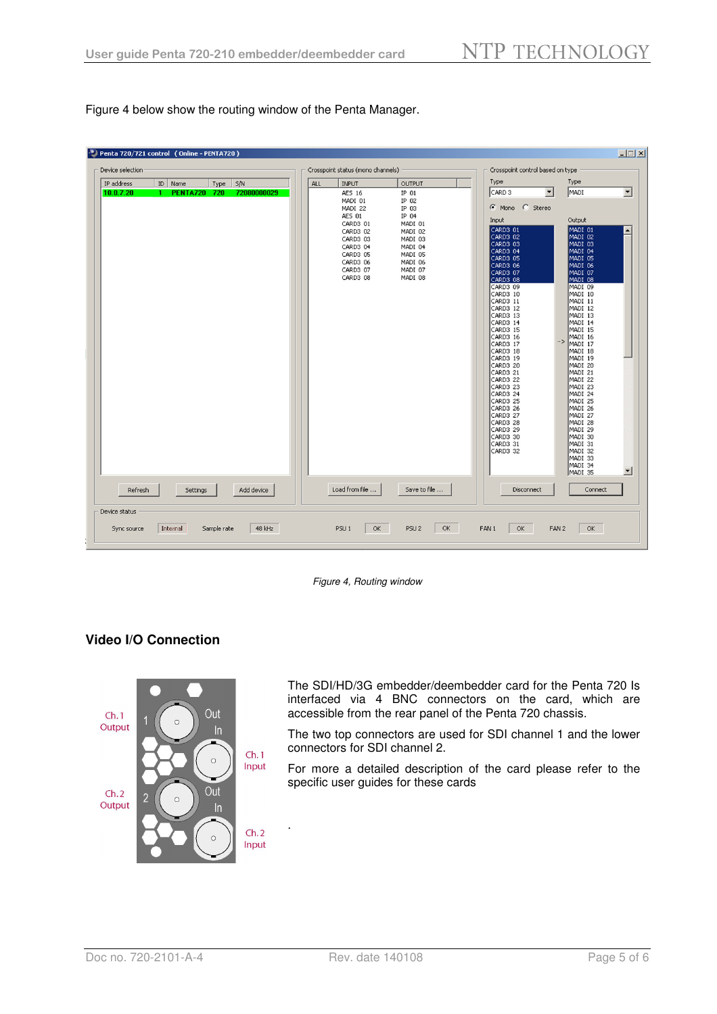Figure 4 below show the routing window of the Penta Manager.

| Type<br>IP address<br>ID<br>5/N<br>ALL<br>Name<br><b>INPUT</b><br>OUTPUT<br>Type<br>CARD <sub>3</sub><br>10.0.7.20<br><b>PENTA720 720</b><br>72080000029<br><b>AES 16</b><br>$IP$ $01$<br>IP 02<br>MADI 01<br>C Mono C Stereo<br>MADI 22<br>IP 03<br>AES 01<br>IP 04<br>Input<br>CARD3 01<br>MADI 01<br>CARD3 01<br>CARD3 02<br>MADI 02<br>CARD3 02<br>CARD3 03<br>MADI 03<br>CARD3 03<br>CARD3 04<br>MADI 04<br>CARD3 04<br>CARD3 05<br>MADI 05<br>CARD3 05<br>CARD3 06<br>MADI 06<br>CARD3 06<br>CARD3 07<br>MADI 07<br>CARD3 07<br>CARD3 08<br>MADI 08<br>CARD3 08<br>CARD3 09<br>CARD3 10<br>CARD3 11<br>CARD3 12<br>CARD3 13<br>CARD3 14<br>CARD3 15<br>CARD3 16<br>CARD3 17<br>CARD3 18<br>CARD3 19 | Type<br>$\overline{\phantom{a}}$<br>MADI<br>Output                                                                                                                                                                                                                                                                                                                                                  |
|-----------------------------------------------------------------------------------------------------------------------------------------------------------------------------------------------------------------------------------------------------------------------------------------------------------------------------------------------------------------------------------------------------------------------------------------------------------------------------------------------------------------------------------------------------------------------------------------------------------------------------------------------------------------------------------------------------------|-----------------------------------------------------------------------------------------------------------------------------------------------------------------------------------------------------------------------------------------------------------------------------------------------------------------------------------------------------------------------------------------------------|
| CARD3 20<br>CARD3 21<br>CARD3 22<br>CARD3 23<br>CARD3 24<br>CARD3 25<br>CARD3 26<br>CARD3 27<br>CARD3 28<br>CARD3 29<br>CARD3 30<br>CARD3 31<br>CARD3 32                                                                                                                                                                                                                                                                                                                                                                                                                                                                                                                                                  | MADI 01<br>MADI 02<br>MADI 03<br>MADI 04<br>MADI 05<br>MADI 06<br>MADI 07<br>MADI 08<br>MADI 09<br>MADI 10<br>MADI 11<br>MADI 12<br>MADI 13<br>MADI 14<br>MADI 15<br>MADI 16<br>$\rightarrow$<br>MADI 17<br>MADI 18<br>MADI 19<br>MADI 20<br>MADI 21<br>MADI 22<br>MADI 23<br>MADI 24<br>MADI 25<br>MADI 26<br>MADI 27<br>MADI 28<br>MADI 29<br>MADI 30<br>MADI 31<br>MADI 32<br>MADI 33<br>MADI 34 |
| Load from file<br>Save to file<br>Add device<br>Disconnect<br>Refresh<br>Settings                                                                                                                                                                                                                                                                                                                                                                                                                                                                                                                                                                                                                         | MADI 35<br>Connect                                                                                                                                                                                                                                                                                                                                                                                  |

Figure 4, Routing window

#### **Video I/O Connection**



The SDI/HD/3G embedder/deembedder card for the Penta 720 Is interfaced via 4 BNC connectors on the card, which are accessible from the rear panel of the Penta 720 chassis.

The two top connectors are used for SDI channel 1 and the lower connectors for SDI channel 2.

For more a detailed description of the card please refer to the specific user guides for these cards

.